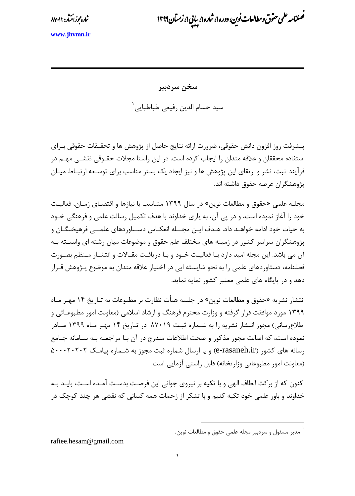مج ش*اره مج*ز انتثار: ۸۷۰۱۹

.<br>ضلامه علمی حقوق ومطالعات نوین، دوره ۱، شاره ۱، سایی ۱، زمتان ۱۳۹۹ ی و ن ا<br>م پ

**<www.jhvmn.ir>**

**سخن سردبیر**

سید حسام الدین رفیعی طباطبایی<sup>۱</sup>

پیشرفت روز افزون دانش حقوقی، ضرورت ارائه نتایج حاصل از پژوهش ها و تحقیقات حقوقی بـرای استفاده محققان و عالقه مندان را ایجاب کرده است. در این راستا مجالت حقروق ی نقشر ی مهر در فرآیند ثبت، نشر و ارتقای این پژوهش ها و نیز ایجاد یک بستر مناسب برای توسـعه ارتبـاط میـان پژوهشگران عرصه حقوق داشته اند.

مجلـه علمی «حقوق و مطالعات نوین» در سال ۱۳۹۹ متناسب با نیازها و اقتضـای زمـان، فعالیـت خود را آغاز نموده است، و در پی آن، به یاری خداوند با هدف تکمیل رسالت علمی و فرهنگی خرود به حیات خود ادامه خواهـد داد. هـدف ایـن مجــله انعکـاس دسـتاوردهای علمــی فرهیختگـان و پژوهشگران سراسر کشور در زمینه های مختلف علم حقوق و موضوعات میان رشته ای وابسـته بـه آن می باشد. این مجله امید دارد بـا فعالیـت خـود و بـا دریافـت مقـالات و انتشـار مـنظم بصـورت فتلنامه، دستاوردهای علمی را به نحو شایسته ایی در اختیار عالقه مندان به موضوع پرژوهش قررار دهد و در پایگاه های علمی معتبر کشور نمایه نماید.

انتشار نشریه »حقوق و مطالعات نوین« در جلسه هیأت نبارت بر مطبوعات به ترار یخ 14 مهرر مراه ۱۳۹۹ مورد موافقت قرار گرفته و وزارت محترم فرهنگ و ارشاد اسلامی (معاونت امور مطبوعـاتی و اطلاعرسانی) مجوز انتشار نشریه را به شـماره ثبـت ۸۷۰۱۹ در تـاریخ ۱۴ مهـر مـاه ۱۳۹۹ صـادر نموده است، که اصالت مجوز مذکور و صحت اطلاعات مندرج در آن بـا مراجعـه بـه سـامانه جـامع رسانه های کشور )ir.rasaneh-e )و یا ارسال شماره ثبت مجوز به شرماره پ یامرک 500020202 (معاونت امور مطبوعاتی وزار تخانه) قابل راستی آزمایی است.

اکنون که از بر کت الطاف الهی و با تکیه بر نیروی جوانی این فرصت بدست آمـده اسـت، بایـد بـه خداوند و باور علمی خود تکیه کنیم و با تشکر از زحمات همه کسانی که نقشی هر چند کوچک در

1

rafiee.hesam@gmail.com

<sup>1</sup> مدیر مسئول و سردبیر مجله علمی حقوق و مطالعات نوین.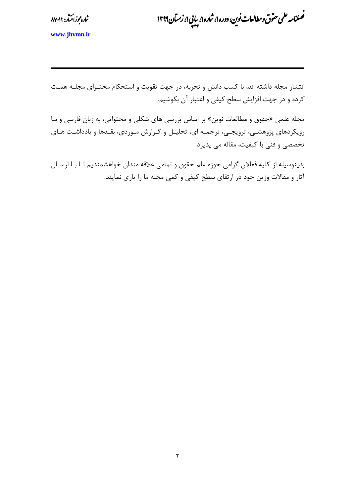مج ش*اره مج*ز انتثار: ۸۷۰۱۹

.<br>ضلامه علمی حقوق ومطالعات نوین، دوره ۱، شاره ۱، سایی ۱، زمتان ۱۳۹۹ ی و ن ا<br>م پ

**<www.jhvmn.ir>**

انتشار مجله داشته اند، با کسب دانش و تجربه، در جهت تقویت و استحکام محتروای مجلره همرت کرده و در جهت افزایش سطح کیفی و اعتبار آن بکوشی .

مجله علمی «حقوق و مطالعات نوین» بر اساس بررسی های شکلی و محتوایی، به زبان فارسی و بـا رویکردهای پژوهشـی، ترویجـی، ترجمـه ای، تحلیـل و گـزارش مـوردی، نقـدها و یادداشـت هـای تختتی و فنی با کیفیت، مقاله می پذیرد.

بدینوسیله از کلیه فعالان گرامی حوزه علم حقوق و تمامی علاقه مندان خواهشمندیم تـا بـا ارسـال آثار و مقاتت وزین خود در ارتقای سطح کیفی و کمی مجله ما را یاری نمایند.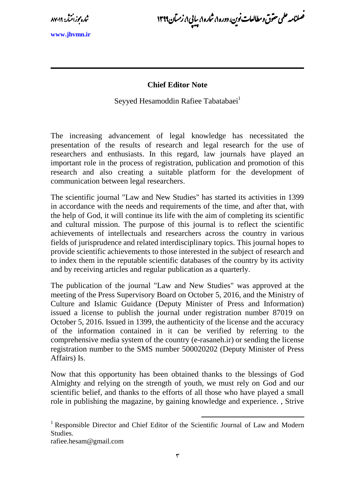مج ش*اره مج*ز انتثار: ۸۷۰۱۹

.<br>ضلامه علمی حقوق ومطالعات نوین، دوره ۱، شاره ۱، سایی ۱، زمتان ۱۳۹۹ ی و ن ا<br>م پ

**<www.jhvmn.ir>**

## **Chief Editor Note**

Seyyed Hesamoddin Rafiee Tabatabaei<sup>1</sup>

The increasing advancement of legal knowledge has necessitated the presentation of the results of research and legal research for the use of researchers and enthusiasts. In this regard, law journals have played an important role in the process of registration, publication and promotion of this research and also creating a suitable platform for the development of communication between legal researchers.

The scientific journal "Law and New Studies" has started its activities in 1399 in accordance with the needs and requirements of the time, and after that, with the help of God, it will continue its life with the aim of completing its scientific and cultural mission. The purpose of this journal is to reflect the scientific achievements of intellectuals and researchers across the country in various fields of jurisprudence and related interdisciplinary topics. This journal hopes to provide scientific achievements to those interested in the subject of research and to index them in the reputable scientific databases of the country by its activity and by receiving articles and regular publication as a quarterly.

The publication of the journal "Law and New Studies" was approved at the meeting of the Press Supervisory Board on October 5, 2016, and the Ministry of Culture and Islamic Guidance (Deputy Minister of Press and Information) issued a license to publish the journal under registration number 87019 on October 5, 2016. Issued in 1399, the authenticity of the license and the accuracy of the information contained in it can be verified by referring to the comprehensive media system of the country (e-rasaneh.ir) or sending the license registration number to the SMS number 500020202 (Deputy Minister of Press Affairs) Is.

Now that this opportunity has been obtained thanks to the blessings of God Almighty and relying on the strength of youth, we must rely on God and our scientific belief, and thanks to the efforts of all those who have played a small role in publishing the magazine, by gaining knowledge and experience. , Strive

1

rafiee.hesam@gmail.com

<sup>&</sup>lt;sup>1</sup> Responsible Director and Chief Editor of the Scientific Journal of Law and Modern Studies.